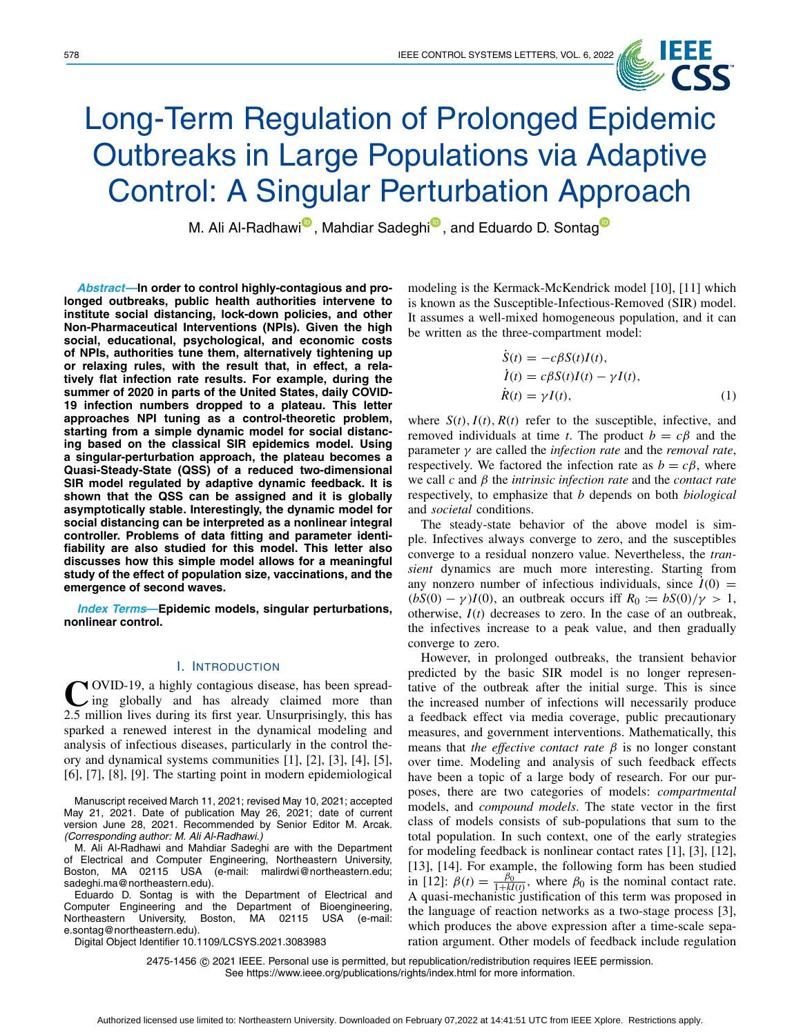

# Long-Term Regulation of Prolonged Epidemic Outbreaks in Large Populations via Adaptive Control: A Singular Perturbation Approach

M. Al[i](https://orcid.org/0000-0002-8696-0912) Al-Radhawi<sup>®</sup>, Mahdiar Sade[g](https://orcid.org/0000-0001-8020-5783)hi<sup>®</sup>, and Eduardo D. Sontag<sup>®</sup>

*Abstract***—In order to control highly-contagious and prolonged outbreaks, public health authorities intervene to institute social distancing, lock-down policies, and other Non-Pharmaceutical Interventions (NPIs). Given the high social, educational, psychological, and economic costs of NPIs, authorities tune them, alternatively tightening up or relaxing rules, with the result that, in effect, a relatively flat infection rate results. For example, during the summer of 2020 in parts of the United States, daily COVID-19 infection numbers dropped to a plateau. This letter approaches NPI tuning as a control-theoretic problem, starting from a simple dynamic model for social distancing based on the classical SIR epidemics model. Using a singular-perturbation approach, the plateau becomes a Quasi-Steady-State (QSS) of a reduced two-dimensional SIR model regulated by adaptive dynamic feedback. It is shown that the QSS can be assigned and it is globally asymptotically stable. Interestingly, the dynamic model for social distancing can be interpreted as a nonlinear integral controller. Problems of data fitting and parameter identifiability are also studied for this model. This letter also discusses how this simple model allows for a meaningful study of the effect of population size, vaccinations, and the emergence of second waves.**

*Index Terms***—Epidemic models, singular perturbations, nonlinear control.**

#### I. INTRODUCTION

COVID-19, a highly contagious disease, has been spread-<br>ing globally and has already claimed more than 2.5 million lives during its first year. Unsurprisingly, this has sparked a renewed interest in the dynamical modeling and analysis of infectious diseases, particularly in the control theory and dynamical systems communities [\[1\]](#page-5-0), [\[2\]](#page-5-1), [\[3\]](#page-5-2), [\[4\]](#page-5-3), [\[5\]](#page-5-4), [\[6\]](#page-5-5), [\[7\]](#page-5-6), [\[8\]](#page-5-7), [\[9\]](#page-5-8). The starting point in modern epidemiological

Manuscript received March 11, 2021; revised May 10, 2021; accepted May 21, 2021. Date of publication May 26, 2021; date of current version June 28, 2021. Recommended by Senior Editor M. Arcak. *(Corresponding author: M. Ali Al-Radhawi.)*

M. Ali Al-Radhawi and Mahdiar Sadeghi are with the Department of Electrical and Computer Engineering, Northeastern University, Boston, MA 02115 USA (e-mail: malirdwi@northeastern.edu; sadeghi.ma@northeastern.edu).

Eduardo D. Sontag is with the Department of Electrical and Computer Engineering and the Department of Bioengineering, Northeastern University, Boston, MA 02115 USA (e-mail: e.sontag@northeastern.edu).

Digital Object Identifier 10.1109/LCSYS.2021.3083983

modeling is the Kermack-McKendrick model [\[10\]](#page-5-9), [\[11\]](#page-5-10) which is known as the Susceptible-Infectious-Removed (SIR) model. It assumes a well-mixed homogeneous population, and it can be written as the three-compartment model:

<span id="page-0-0"></span>
$$
S(t) = -c\beta S(t)I(t),
$$
  
\n
$$
\dot{I}(t) = c\beta S(t)I(t) - \gamma I(t),
$$
  
\n
$$
\dot{R}(t) = \gamma I(t),
$$
\n(1)

where  $S(t)$ ,  $I(t)$ ,  $R(t)$  refer to the susceptible, infective, and removed individuals at time *t*. The product  $b = c\beta$  and the parameter γ are called the *infection rate* and the *removal rate*, respectively. We factored the infection rate as  $b = c\beta$ , where we call *c* and β the *intrinsic infection rate* and the *contact rate* respectively, to emphasize that *b* depends on both *biological* and *societal* conditions.

The steady-state behavior of the above model is simple. Infectives always converge to zero, and the susceptibles converge to a residual nonzero value. Nevertheless, the *transient* dynamics are much more interesting. Starting from any nonzero number of infectious individuals, since  $\dot{I}(0)$  =  $(bS(0) - \gamma)I(0)$ , an outbreak occurs iff  $R_0 := bS(0)/\gamma > 1$ , otherwise, *I*(*t*) decreases to zero. In the case of an outbreak, the infectives increase to a peak value, and then gradually converge to zero.

However, in prolonged outbreaks, the transient behavior predicted by the basic SIR model is no longer representative of the outbreak after the initial surge. This is since the increased number of infections will necessarily produce a feedback effect via media coverage, public precautionary measures, and government interventions. Mathematically, this means that *the effective contact rate*  $\beta$  is no longer constant over time. Modeling and analysis of such feedback effects have been a topic of a large body of research. For our purposes, there are two categories of models: *compartmental* models, and *compound models*. The state vector in the first class of models consists of sub-populations that sum to the total population. In such context, one of the early strategies for modeling feedback is nonlinear contact rates [\[1\]](#page-5-0), [\[3\]](#page-5-2), [\[12\]](#page-5-11), [\[13\]](#page-5-12), [\[14\]](#page-5-13). For example, the following form has been studied in [\[12\]](#page-5-11):  $\beta(t) = \frac{\beta_0}{1+kI(t)}$ , where  $\beta_0$  is the nominal contact rate. A quasi-mechanistic justification of this term was proposed in the language of reaction networks as a two-stage process [\[3\]](#page-5-2), which produces the above expression after a time-scale separation argument. Other models of feedback include regulation

2475-1456 © 2021 IEEE. Personal use is permitted, but republication/redistribution requires IEEE permission. See https://www.ieee.org/publications/rights/index.html for more information.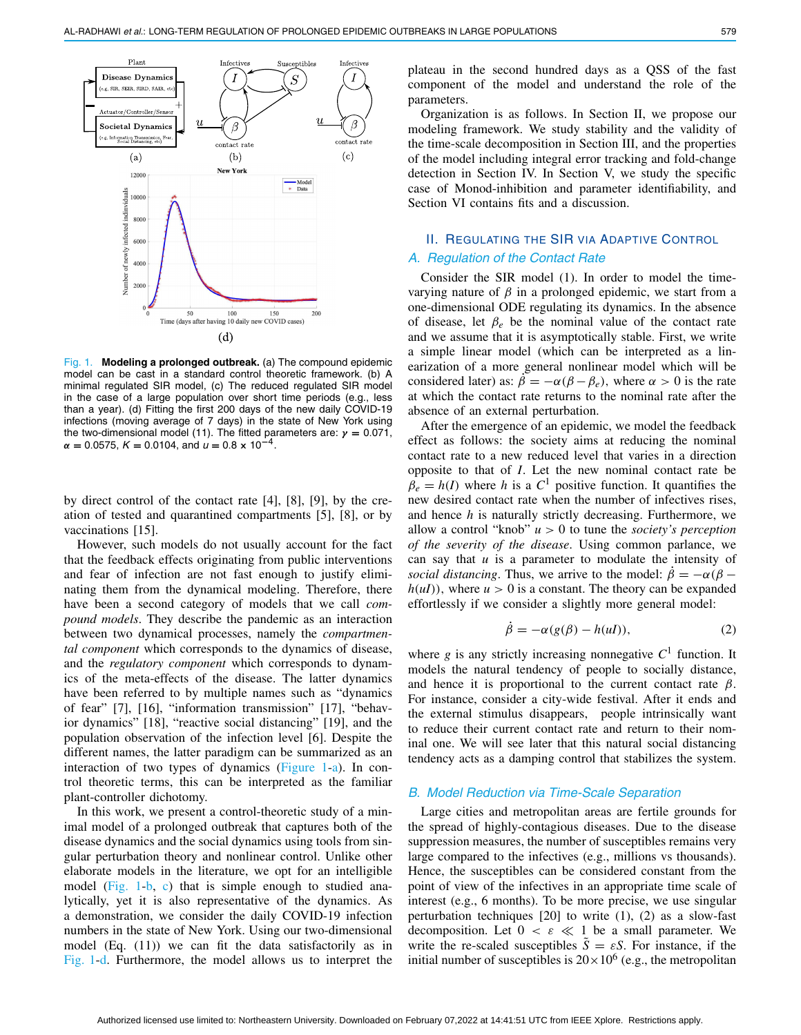

<span id="page-1-0"></span>Fig. 1. **Modeling a prolonged outbreak.** (a) The compound epidemic model can be cast in a standard control theoretic framework. (b) A minimal regulated SIR model, (c) The reduced regulated SIR model in the case of a large population over short time periods (e.g., less than a year). (d) Fitting the first 200 days of the new daily COVID-19 infections (moving average of 7 days) in the state of New York using the two-dimensional model (11). The fitted parameters are: *γ* **=** 0.071, *<sup>α</sup>* **<sup>=</sup>** <sup>0</sup>.0575, *<sup>K</sup>* **<sup>=</sup>** <sup>0</sup>.0104, and *<sup>u</sup>* **<sup>=</sup>** <sup>0</sup>.<sup>8</sup> **<sup>×</sup>** <sup>10</sup>**<sup>−</sup>**4.

by direct control of the contact rate [\[4\]](#page-5-3), [\[8\]](#page-5-7), [\[9\]](#page-5-8), by the creation of tested and quarantined compartments [\[5\]](#page-5-4), [\[8\]](#page-5-7), or by vaccinations [\[15\]](#page-5-14).

However, such models do not usually account for the fact that the feedback effects originating from public interventions and fear of infection are not fast enough to justify eliminating them from the dynamical modeling. Therefore, there have been a second category of models that we call *compound models*. They describe the pandemic as an interaction between two dynamical processes, namely the *compartmental component* which corresponds to the dynamics of disease, and the *regulatory component* which corresponds to dynamics of the meta-effects of the disease. The latter dynamics have been referred to by multiple names such as "dynamics of fear" [\[7\]](#page-5-6), [\[16\]](#page-5-15), "information transmission" [\[17\]](#page-5-16), "behavior dynamics" [\[18\]](#page-5-17), "reactive social distancing" [\[19\]](#page-5-18), and the population observation of the infection level [\[6\]](#page-5-5). Despite the different names, the latter paradigm can be summarized as an interaction of two types of dynamics (Figure [1-](#page-1-0)a). In control theoretic terms, this can be interpreted as the familiar plant-controller dichotomy.

In this work, we present a control-theoretic study of a minimal model of a prolonged outbreak that captures both of the disease dynamics and the social dynamics using tools from singular perturbation theory and nonlinear control. Unlike other elaborate models in the literature, we opt for an intelligible model (Fig. [1-](#page-1-0)b, c) that is simple enough to studied analytically, yet it is also representative of the dynamics. As a demonstration, we consider the daily COVID-19 infection numbers in the state of New York. Using our two-dimensional model (Eq. [\(11\)](#page-4-0)) we can fit the data satisfactorily as in Fig. [1-](#page-1-0)d. Furthermore, the model allows us to interpret the

plateau in the second hundred days as a QSS of the fast component of the model and understand the role of the parameters.

Organization is as follows. In Section II, we propose our modeling framework. We study stability and the validity of the time-scale decomposition in Section III, and the properties of the model including integral error tracking and fold-change detection in Section IV. In Section V, we study the specific case of Monod-inhibition and parameter identifiability, and Section VI contains fits and a discussion.

# II. REGULATING THE SIR VIA ADAPTIVE CONTROL *A. Regulation of the Contact Rate*

Consider the SIR model [\(1\)](#page-0-0). In order to model the timevarying nature of  $\beta$  in a prolonged epidemic, we start from a one-dimensional ODE regulating its dynamics. In the absence of disease, let  $\beta_e$  be the nominal value of the contact rate and we assume that it is asymptotically stable. First, we write a simple linear model (which can be interpreted as a linearization of a more general nonlinear model which will be considered later) as:  $\dot{\beta} = -\alpha(\beta - \beta_e)$ , where  $\alpha > 0$  is the rate at which the contact rate returns to the nominal rate after the absence of an external perturbation.

After the emergence of an epidemic, we model the feedback effect as follows: the society aims at reducing the nominal contact rate to a new reduced level that varies in a direction opposite to that of *I*. Let the new nominal contact rate be  $\beta_e = h(I)$  where *h* is a  $C^1$  positive function. It quantifies the new desired contact rate when the number of infectives rises, and hence *h* is naturally strictly decreasing. Furthermore, we allow a control "knob"  $u > 0$  to tune the *society's perception of the severity of the disease*. Using common parlance, we can say that *u* is a parameter to modulate the intensity of *social distancing*. Thus, we arrive to the model:  $\dot{\beta} = -\alpha(\beta - \beta)$  $h(uI)$ , where  $u > 0$  is a constant. The theory can be expanded effortlessly if we consider a slightly more general model:

<span id="page-1-1"></span>
$$
\dot{\beta} = -\alpha (g(\beta) - h(uI)),\tag{2}
$$

where  $g$  is any strictly increasing nonnegative  $C<sup>1</sup>$  function. It models the natural tendency of people to socially distance, and hence it is proportional to the current contact rate  $\beta$ . For instance, consider a city-wide festival. After it ends and the external stimulus disappears, people intrinsically want to reduce their current contact rate and return to their nominal one. We will see later that this natural social distancing tendency acts as a damping control that stabilizes the system.

#### *B. Model Reduction via Time-Scale Separation*

Large cities and metropolitan areas are fertile grounds for the spread of highly-contagious diseases. Due to the disease suppression measures, the number of susceptibles remains very large compared to the infectives (e.g., millions vs thousands). Hence, the susceptibles can be considered constant from the point of view of the infectives in an appropriate time scale of interest (e.g., 6 months). To be more precise, we use singular perturbation techniques  $[20]$  to write  $(1)$ ,  $(2)$  as a slow-fast decomposition. Let  $0 < \varepsilon \ll 1$  be a small parameter. We write the re-scaled susceptibles  $S = \varepsilon S$ . For instance, if the initial number of susceptibles is  $20 \times 10^6$  (e.g., the metropolitan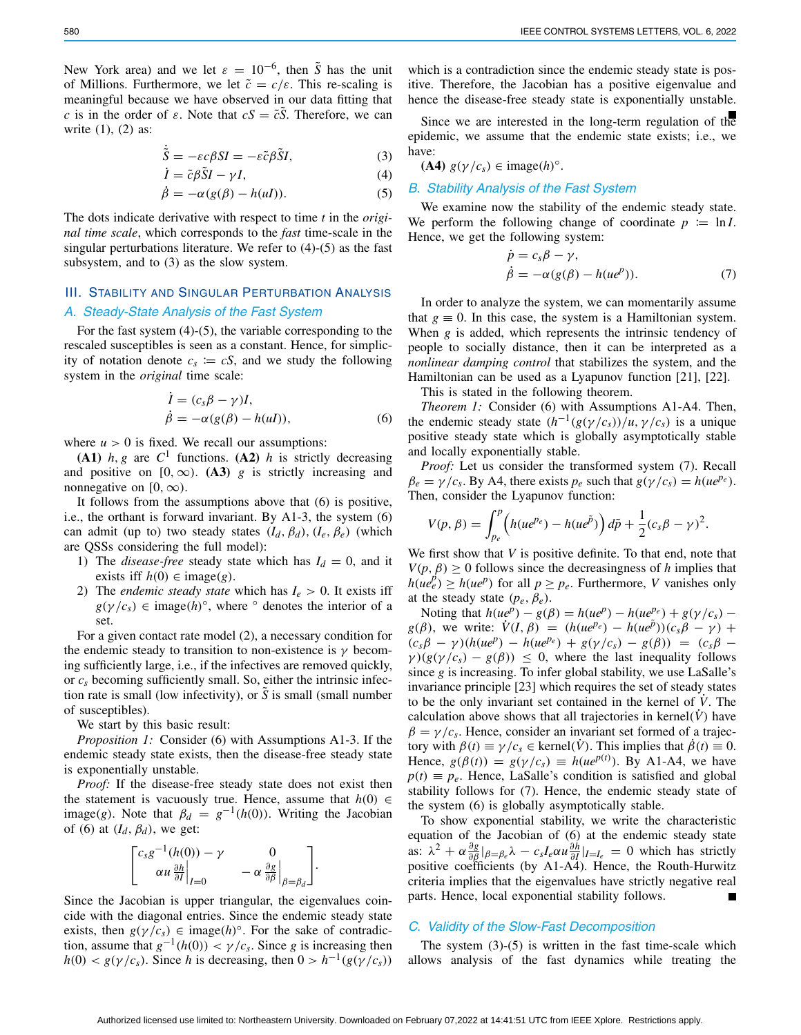New York area) and we let  $\varepsilon = 10^{-6}$ , then  $\tilde{S}$  has the unit of Millions. Furthermore, we let  $\tilde{c} = c/\varepsilon$ . This re-scaling is meaningful because we have observed in our data fitting that *c* is in the order of  $\varepsilon$ . Note that  $cS = \tilde{c}S$ . Therefore, we can write [\(1\)](#page-0-0), [\(2\)](#page-1-1) as:

<span id="page-2-0"></span>
$$
\tilde{S} = -\varepsilon c \beta S I = -\varepsilon \tilde{c} \beta \tilde{S} I,\tag{3}
$$

$$
\dot{I} = \tilde{c}\beta \tilde{S}I - \gamma I,\tag{4}
$$

$$
\dot{\beta} = -\alpha (g(\beta) - h(uI)).\tag{5}
$$

The dots indicate derivative with respect to time *t* in the *original time scale*, which corresponds to the *fast* time-scale in the singular perturbations literature. We refer to [\(4\)](#page-2-0)-[\(5\)](#page-2-0) as the fast subsystem, and to [\(3\)](#page-2-0) as the slow system.

# III. STABILITY AND SINGULAR PERTURBATION ANALYSIS *A. Steady-State Analysis of the Fast System*

For the fast system [\(4\)](#page-2-0)-[\(5\)](#page-2-0), the variable corresponding to the rescaled susceptibles is seen as a constant. Hence, for simplicity of notation denote  $c_s \coloneqq c_s$ , and we study the following system in the *original* time scale:

<span id="page-2-1"></span>
$$
\begin{aligned} \dot{I} &= (c_s \beta - \gamma)I, \\ \dot{\beta} &= -\alpha(g(\beta) - h(uI)), \end{aligned} \tag{6}
$$

where  $u > 0$  is fixed. We recall our assumptions:

**(A1)**  $h, g$  are  $C^1$  functions. **(A2)**  $h$  is strictly decreasing and positive on  $[0, \infty)$ . **(A3)** *g* is strictly increasing and nonnegative on  $[0, \infty)$ .

It follows from the assumptions above that [\(6\)](#page-2-1) is positive, i.e., the orthant is forward invariant. By A1-3, the system [\(6\)](#page-2-1) can admit (up to) two steady states  $(I_d, \beta_d)$ ,  $(I_e, \beta_e)$  (which are QSSs considering the full model):

- 1) The *disease-free* steady state which has  $I_d = 0$ , and it exists iff  $h(0) \in \text{image}(g)$ .
- 2) The *endemic steady state* which has  $I_e > 0$ . It exists iff  $g(\gamma/c_s) \in \text{image}(h)^\circ$ , where  $\circ$  denotes the interior of a set.

For a given contact rate model [\(2\)](#page-1-1), a necessary condition for the endemic steady to transition to non-existence is  $\gamma$  becoming sufficiently large, i.e., if the infectives are removed quickly, or *cs* becoming sufficiently small. So, either the intrinsic infection rate is small (low infectivity), or *S* is small (small number of susceptibles).

We start by this basic result:

*Proposition 1:* Consider [\(6\)](#page-2-1) with Assumptions A1-3. If the endemic steady state exists, then the disease-free steady state is exponentially unstable.

*Proof:* If the disease-free steady state does not exist then the statement is vacuously true. Hence, assume that  $h(0) \in$ image(*g*). Note that  $\beta_d = g^{-1}(h(0))$ . Writing the Jacobian of [\(6\)](#page-2-1) at  $(I_d, \beta_d)$ , we get:

$$
\begin{bmatrix}c_s g^{-1}(h(0))-\gamma & 0\\ \alpha u \frac{\partial h}{\partial I}\Big|_{I=0} & -\alpha \frac{\partial g}{\partial \beta}\Big|_{\beta=\beta_d}\end{bmatrix}.
$$

Since the Jacobian is upper triangular, the eigenvalues coincide with the diagonal entries. Since the endemic steady state exists, then  $g(\gamma/c_s) \in \text{image}(h)^\circ$ . For the sake of contradiction, assume that  $g^{-1}(h(0)) < \gamma/c_s$ . Since *g* is increasing then  $h(0) < g(\gamma/c_s)$ . Since *h* is decreasing, then  $0 > h^{-1}(g(\gamma/c_s))$ 

which is a contradiction since the endemic steady state is positive. Therefore, the Jacobian has a positive eigenvalue and hence the disease-free steady state is exponentially unstable.

Since we are interested in the long-term regulation of the epidemic, we assume that the endemic state exists; i.e., we have:

**(A4)**  $g(\gamma/c_s) \in \text{image}(h)^\circ$ .

#### *B. Stability Analysis of the Fast System*

We examine now the stability of the endemic steady state. We perform the following change of coordinate  $p := \ln I$ . Hence, we get the following system:

<span id="page-2-2"></span>
$$
\dot{p} = c_s \beta - \gamma,
$$
  
\n
$$
\dot{\beta} = -\alpha (g(\beta) - h(ue^p)).
$$
\n(7)

In order to analyze the system, we can momentarily assume that  $g \equiv 0$ . In this case, the system is a Hamiltonian system. When *g* is added, which represents the intrinsic tendency of people to socially distance, then it can be interpreted as a *nonlinear damping control* that stabilizes the system, and the Hamiltonian can be used as a Lyapunov function [\[21\]](#page-5-20), [\[22\]](#page-5-21).

<span id="page-2-3"></span>This is stated in the following theorem.

*Theorem 1:* Consider [\(6\)](#page-2-1) with Assumptions A1-A4. Then, the endemic steady state  $(h^{-1}(g(\gamma/c_s))/u, \gamma/c_s)$  is a unique positive steady state which is globally asymptotically stable and locally exponentially stable.

*Proof:* Let us consider the transformed system [\(7\)](#page-2-2). Recall  $\beta_e = \gamma/c_s$ . By A4, there exists  $p_e$  such that  $g(\gamma/c_s) = h(ue^{p_e})$ . Then, consider the Lyapunov function:

$$
V(p, \beta) = \int_{p_e}^p \left( h(ue^{p_e}) - h(ue^{\tilde{p}}) \right) d\tilde{p} + \frac{1}{2} (c_s \beta - \gamma)^2.
$$

We first show that *V* is positive definite. To that end, note that  $V(p, \beta) \geq 0$  follows since the decreasingness of *h* implies that  $h(ue_e^p) \ge h(ue^p)$  for all  $p \ge p_e$ . Furthermore, *V* vanishes only at the steady state  $(p_e, \beta_e)$ .

Noting that  $h(ue^p) - g(\beta) = h(ue^p) - h(ue^{pe}) + g(\gamma/c_s)$ *g*( $\beta$ ), we write:  $\dot{V}(I,\beta) = (h(ue^{p_e}) - h(ue^p))(c_s\beta - \gamma) +$  $(c_s\beta - \gamma)(h(ue^p) - h(ue^{p_e}) + g(\gamma/c_s) - g(\beta)) = (c_s\beta \gamma$ )( $g(\gamma/c_s) - g(\beta)$ )  $\leq 0$ , where the last inequality follows since *g* is increasing. To infer global stability, we use LaSalle's invariance principle [\[23\]](#page-5-22) which requires the set of steady states to be the only invariant set contained in the kernel of *V*˙ . The calculation above shows that all trajectories in kernel $(V)$  have  $\beta = \gamma/c_s$ . Hence, consider an invariant set formed of a trajectory with  $\beta(t) \equiv \gamma/c_s \in \text{kernel}(\dot{V})$ . This implies that  $\dot{\beta}(t) \equiv 0$ . Hence,  $g(\beta(t)) = g(\gamma/c_s) \equiv h(ue^{p(t)})$ . By A1-A4, we have  $p(t) \equiv p_e$ . Hence, LaSalle's condition is satisfied and global stability follows for [\(7\)](#page-2-2). Hence, the endemic steady state of the system [\(6\)](#page-2-1) is globally asymptotically stable.

To show exponential stability, we write the characteristic equation of the Jacobian of [\(6\)](#page-2-1) at the endemic steady state as:  $\lambda^2 + \alpha \frac{\partial g}{\partial \beta} |_{\beta = \beta_e} \lambda - c_s I_e \alpha u \frac{\partial h}{\partial I} |_{I = I_e} = 0$  which has strictly positive coefficients (by A1-A4). Hence, the Routh-Hurwitz criteria implies that the eigenvalues have strictly negative real parts. Hence, local exponential stability follows.

#### *C. Validity of the Slow-Fast Decomposition*

The system [\(3\)](#page-2-0)-[\(5\)](#page-2-0) is written in the fast time-scale which allows analysis of the fast dynamics while treating the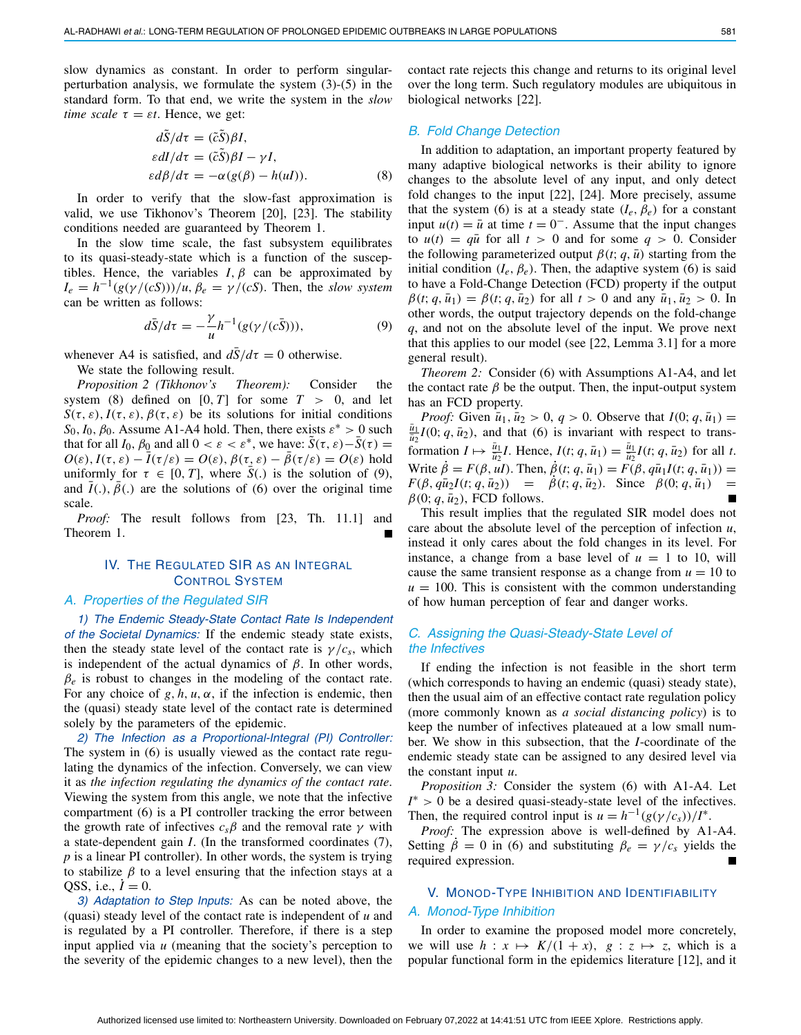slow dynamics as constant. In order to perform singularperturbation analysis, we formulate the system [\(3\)](#page-2-0)-[\(5\)](#page-2-0) in the standard form. To that end, we write the system in the *slow time scale*  $\tau = \varepsilon t$ . Hence, we get:

<span id="page-3-0"></span>
$$
dS/d\tau = (\tilde{c}S)\beta I,
$$
  
\n
$$
\varepsilon dI/d\tau = (\tilde{c}\tilde{S})\beta I - \gamma I,
$$
  
\n
$$
\varepsilon d\beta/d\tau = -\alpha(g(\beta) - h(uI)).
$$
\n(8)

In order to verify that the slow-fast approximation is valid, we use Tikhonov's Theorem [\[20\]](#page-5-19), [\[23\]](#page-5-22). The stability conditions needed are guaranteed by Theorem [1.](#page-2-3)

In the slow time scale, the fast subsystem equilibrates to its quasi-steady-state which is a function of the susceptibles. Hence, the variables  $I, \beta$  can be approximated by  $I_e = h^{-1}(g(\gamma/(cS)))/u, \beta_e = \gamma/(cS)$ . Then, the *slow system* can be written as follows:

<span id="page-3-1"></span>
$$
d\bar{S}/d\tau = -\frac{\gamma}{u}h^{-1}(g(\gamma/(c\bar{S}))),\tag{9}
$$

whenever A4 is satisfied, and  $dS/d\tau = 0$  otherwise.

We state the following result.

*Proposition 2 (Tikhonov's Theorem):* Consider the system [\(8\)](#page-3-0) defined on  $[0, T]$  for some  $T > 0$ , and let  $S(\tau, \varepsilon)$ ,  $I(\tau, \varepsilon)$ ,  $\beta(\tau, \varepsilon)$  be its solutions for initial conditions  $S_0$ ,  $I_0$ ,  $\beta_0$ . Assume A1-A4 hold. Then, there exists  $\varepsilon^* > 0$  such that for all *I*<sub>0</sub>,  $\beta_0$  and all  $0 < \varepsilon < \varepsilon^*$ , we have:  $\tilde{S}(\tau, \varepsilon) - \tilde{S}(\tau) =$  $O(\varepsilon)$ ,  $I(\tau, \varepsilon) - \bar{I}(\tau/\varepsilon) = O(\varepsilon)$ ,  $\beta(\tau, \varepsilon) - \bar{\beta}(\tau/\varepsilon) = O(\varepsilon)$  hold uniformly for  $\tau \in [0, T]$ , where *S*(.) is the solution of [\(9\)](#page-3-1), and  $I(.)$ ,  $\beta(.)$  are the solutions of [\(6\)](#page-2-1) over the original time scale.

*Proof:* The result follows from [\[23,](#page-5-22) Th. 11.1] and Theorem [1.](#page-2-3)

# IV. THE REGULATED SIR AS AN INTEGRAL CONTROL SYSTEM

## *A. Properties of the Regulated SIR*

*1) The Endemic Steady-State Contact Rate Is Independent of the Societal Dynamics:* If the endemic steady state exists, then the steady state level of the contact rate is  $\gamma/c_s$ , which is independent of the actual dynamics of β. In other words,  $\beta_e$  is robust to changes in the modeling of the contact rate. For any choice of  $g, h, u, \alpha$ , if the infection is endemic, then the (quasi) steady state level of the contact rate is determined solely by the parameters of the epidemic.

*2) The Infection as a Proportional-Integral (PI) Controller:* The system in [\(6\)](#page-2-1) is usually viewed as the contact rate regulating the dynamics of the infection. Conversely, we can view it as *the infection regulating the dynamics of the contact rate*. Viewing the system from this angle, we note that the infective compartment [\(6\)](#page-2-1) is a PI controller tracking the error between the growth rate of infectives  $c_s\beta$  and the removal rate  $\gamma$  with a state-dependent gain *I*. (In the transformed coordinates [\(7\)](#page-2-2), *p* is a linear PI controller). In other words, the system is trying to stabilize  $\beta$  to a level ensuring that the infection stays at a QSS, i.e.,  $I = 0$ .

*3) Adaptation to Step Inputs:* As can be noted above, the (quasi) steady level of the contact rate is independent of *u* and is regulated by a PI controller. Therefore, if there is a step input applied via *u* (meaning that the society's perception to the severity of the epidemic changes to a new level), then the contact rate rejects this change and returns to its original level over the long term. Such regulatory modules are ubiquitous in biological networks [\[22\]](#page-5-21).

#### *B. Fold Change Detection*

In addition to adaptation, an important property featured by many adaptive biological networks is their ability to ignore changes to the absolute level of any input, and only detect fold changes to the input [\[22\]](#page-5-21), [\[24\]](#page-5-23). More precisely, assume that the system [\(6\)](#page-2-1) is at a steady state  $(I_e, \beta_e)$  for a constant input  $u(t) = \bar{u}$  at time  $t = 0^-$ . Assume that the input changes to  $u(t) = q\bar{u}$  for all  $t > 0$  and for some  $q > 0$ . Consider the following parameterized output  $\beta(t; q, \bar{u})$  starting from the initial condition  $(I_e, \beta_e)$ . Then, the adaptive system [\(6\)](#page-2-1) is said to have a Fold-Change Detection (FCD) property if the output  $\beta(t; q, \bar{u}_1) = \beta(t; q, \bar{u}_2)$  for all  $t > 0$  and any  $\bar{u}_1, \bar{u}_2 > 0$ . In other words, the output trajectory depends on the fold-change *q*, and not on the absolute level of the input. We prove next that this applies to our model (see [\[22,](#page-5-21) Lemma 3.1] for a more general result).

*Theorem 2:* Consider [\(6\)](#page-2-1) with Assumptions A1-A4, and let the contact rate  $\beta$  be the output. Then, the input-output system has an FCD property.

*Proof:* Given  $\bar{u}_1, \bar{u}_2 > 0, q > 0$ . Observe that  $I(0; q, \bar{u}_1) =$  $\frac{u_1}{\bar{u}_2}I(0; q, \bar{u}_2)$ , and that [\(6\)](#page-2-1) is invariant with respect to transformation  $I \mapsto \frac{\bar{u}_1}{\bar{u}_2}I$ . Hence,  $I(t; q, \bar{u}_1) = \frac{\bar{u}_1}{\bar{u}_2}I(t; q, \bar{u}_2)$  for all *t*. Write  $\dot{\beta} = F(\beta, uI)$ . Then,  $\dot{\beta}(t; q, \bar{u}_1) = F(\beta, q\bar{u}_1I(t; q, \bar{u}_1)) =$  $F(\beta, q\bar{u}_2I(t; q, \bar{u}_2)) = \beta(t; q, \bar{u}_2)$ . Since  $\beta(0; q, \bar{u}_1) =$  $\beta(0; q, \bar{u}_2)$ , FCD follows.

This result implies that the regulated SIR model does not care about the absolute level of the perception of infection *u*, instead it only cares about the fold changes in its level. For instance, a change from a base level of  $u = 1$  to 10, will cause the same transient response as a change from  $u = 10$  to  $u = 100$ . This is consistent with the common understanding of how human perception of fear and danger works.

#### *C. Assigning the Quasi-Steady-State Level of the Infectives*

If ending the infection is not feasible in the short term (which corresponds to having an endemic (quasi) steady state), then the usual aim of an effective contact rate regulation policy (more commonly known as *a social distancing policy*) is to keep the number of infectives plateaued at a low small number. We show in this subsection, that the *I*-coordinate of the endemic steady state can be assigned to any desired level via the constant input *u*.

*Proposition 3:* Consider the system [\(6\)](#page-2-1) with A1-A4. Let *I*<sup>∗</sup> > 0 be a desired quasi-steady-state level of the infectives. Then, the required control input is  $u = h^{-1}(g(\gamma/c_s))/I^*$ .

*Proof:* The expression above is well-defined by A1-A4. Setting  $\beta = 0$  in [\(6\)](#page-2-1) and substituting  $\beta_e = \gamma/c_s$  yields the required expression.

# V. MONOD-TYPE INHIBITION AND IDENTIFIABILITY

# *A. Monod-Type Inhibition*

In order to examine the proposed model more concretely, we will use  $h: x \mapsto K/(1+x)$ ,  $g: z \mapsto z$ , which is a popular functional form in the epidemics literature [\[12\]](#page-5-11), and it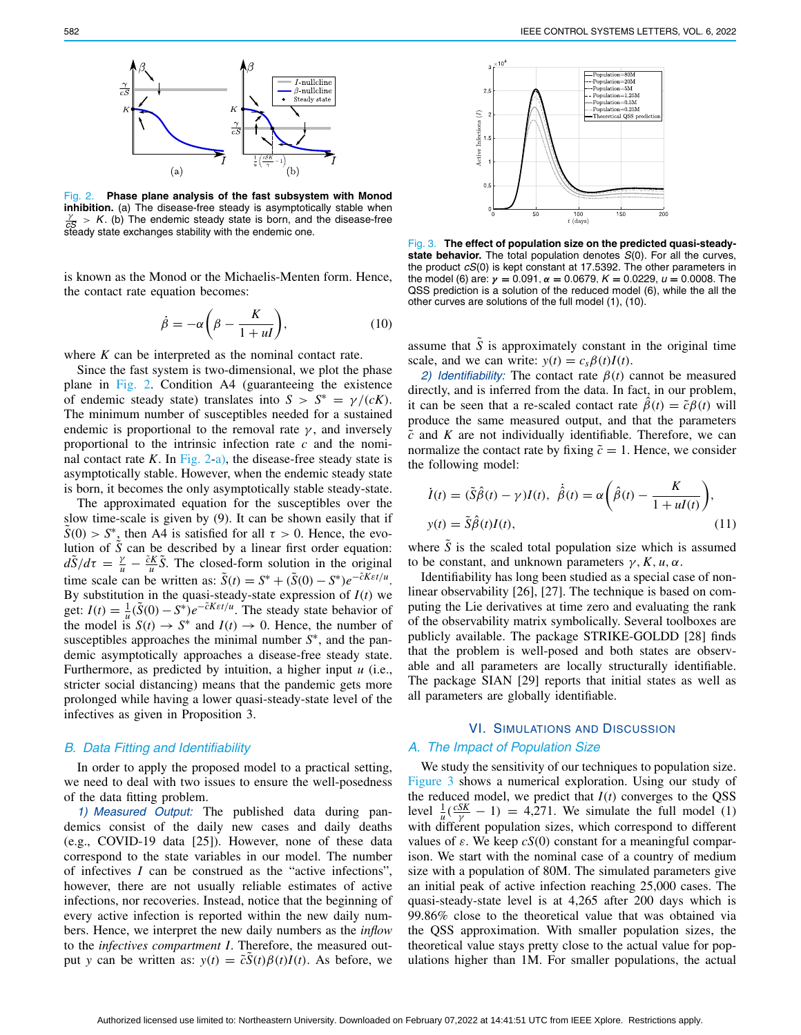

<span id="page-4-1"></span>Fig. 2. **Phase plane analysis of the fast subsystem with Monod** inhibition. (a) The disease-free steady is asymptotically stable when  $\frac{y}{x}$  > *K*. (b) The endemic steady state is born, and the disease-free steady state exchanges stability with the endemic one.

is known as the Monod or the Michaelis-Menten form. Hence, the contact rate equation becomes:

$$
\dot{\beta} = -\alpha \bigg(\beta - \frac{K}{1 + ul}\bigg),\tag{10}
$$

where *K* can be interpreted as the nominal contact rate.

Since the fast system is two-dimensional, we plot the phase plane in Fig. [2.](#page-4-1) Condition A4 (guaranteeing the existence of endemic steady state) translates into  $S > S^* = \gamma/(cK)$ . The minimum number of susceptibles needed for a sustained endemic is proportional to the removal rate  $\gamma$ , and inversely proportional to the intrinsic infection rate *c* and the nominal contact rate  $K$ . In Fig. [2-](#page-4-1)a), the disease-free steady state is asymptotically stable. However, when the endemic steady state is born, it becomes the only asymptotically stable steady-state.

The approximated equation for the susceptibles over the slow time-scale is given by [\(9\)](#page-3-1). It can be shown easily that if  $\tilde{S}(0) > S^*$ , then A4 is satisfied for all  $\tau > 0$ . Hence, the evolution of  $\tilde{S}$  can be described by a linear first order equation:  $d\tilde{S}/d\tau = \frac{\gamma}{u} - \frac{\tilde{c}K}{u}\tilde{S}$ . The closed-form solution in the original time scale can be written as:  $\tilde{S}(t) = S^* + (\tilde{S}(0) - S^*)e^{-\tilde{C}K\epsilon t/u}$ . By substitution in the quasi-steady-state expression of *I*(*t*) we get:  $I(t) = \frac{1}{u} (\tilde{S}(0) - S^*) e^{-\tilde{C}K\epsilon t/u}$ . The steady state behavior of the model is  $S(t) \to S^*$  and  $I(t) \to 0$ . Hence, the number of susceptibles approaches the minimal number *S*∗, and the pandemic asymptotically approaches a disease-free steady state. Furthermore, as predicted by intuition, a higher input *u* (i.e., stricter social distancing) means that the pandemic gets more prolonged while having a lower quasi-steady-state level of the infectives as given in Proposition 3.

#### *B. Data Fitting and Identifiability*

In order to apply the proposed model to a practical setting, we need to deal with two issues to ensure the well-posedness of the data fitting problem.

*1) Measured Output:* The published data during pandemics consist of the daily new cases and daily deaths (e.g., COVID-19 data [\[25\]](#page-5-24)). However, none of these data correspond to the state variables in our model. The number of infectives *I* can be construed as the "active infections", however, there are not usually reliable estimates of active infections, nor recoveries. Instead, notice that the beginning of every active infection is reported within the new daily numbers. Hence, we interpret the new daily numbers as the *inflow* to the *infectives compartment I*. Therefore, the measured output *y* can be written as:  $y(t) = \tilde{c}S(t)\beta(t)I(t)$ . As before, we



<span id="page-4-2"></span>Fig. 3. **The effect of population size on the predicted quasi-steadystate behavior.** The total population denotes *S*(0). For all the curves, the product *cS*(0) is kept constant at 17.5392. The other parameters in the model (6) are: *γ* **=** 0.091, *α* **=** 0.0679, *K* **=** 0.0229, *u* **=** 0.0008. The QSS prediction is a solution of the reduced model (6), while the all the other curves are solutions of the full model (1), (10).

assume that  $\tilde{S}$  is approximately constant in the original time scale, and we can write:  $y(t) = c_s \beta(t)I(t)$ .

*2) Identifiability:* The contact rate  $\beta(t)$  cannot be measured directly, and is inferred from the data. In fact, in our problem, it can be seen that a re-scaled contact rate  $\hat{\beta}(t) = \tilde{c}\beta(t)$  will produce the same measured output, and that the parameters *c*˜ and *K* are not individually identifiable. Therefore, we can normalize the contact rate by fixing  $\tilde{c} = 1$ . Hence, we consider the following model:

<span id="page-4-0"></span>
$$
\dot{I}(t) = (\tilde{S}\hat{\beta}(t) - \gamma)I(t), \ \dot{\hat{\beta}}(t) = \alpha \left(\hat{\beta}(t) - \frac{K}{1 + uI(t)}\right),
$$
  
\n
$$
y(t) = \tilde{S}\hat{\beta}(t)I(t),
$$
\n(11)

where  $\tilde{S}$  is the scaled total population size which is assumed to be constant, and unknown parameters  $\gamma$ , *K*, *u*,  $\alpha$ .

Identifiability has long been studied as a special case of nonlinear observability [\[26\]](#page-5-25), [\[27\]](#page-5-26). The technique is based on computing the Lie derivatives at time zero and evaluating the rank of the observability matrix symbolically. Several toolboxes are publicly available. The package STRIKE-GOLDD [\[28\]](#page-5-27) finds that the problem is well-posed and both states are observable and all parameters are locally structurally identifiable. The package SIAN [\[29\]](#page-5-28) reports that initial states as well as all parameters are globally identifiable.

## VI. SIMULATIONS AND DISCUSSION

## *A. The Impact of Population Size*

We study the sensitivity of our techniques to population size. Figure [3](#page-4-2) shows a numerical exploration. Using our study of the reduced model, we predict that  $I(t)$  converges to the QSS level  $\frac{1}{u}(\frac{cSK}{\gamma} - 1) = 4,271$ . We simulate the full model [\(1\)](#page-0-0) with different population sizes, which correspond to different values of  $\varepsilon$ . We keep  $cS(0)$  constant for a meaningful comparison. We start with the nominal case of a country of medium size with a population of 80M. The simulated parameters give an initial peak of active infection reaching 25,000 cases. The quasi-steady-state level is at 4,265 after 200 days which is 99.86% close to the theoretical value that was obtained via the QSS approximation. With smaller population sizes, the theoretical value stays pretty close to the actual value for populations higher than 1M. For smaller populations, the actual